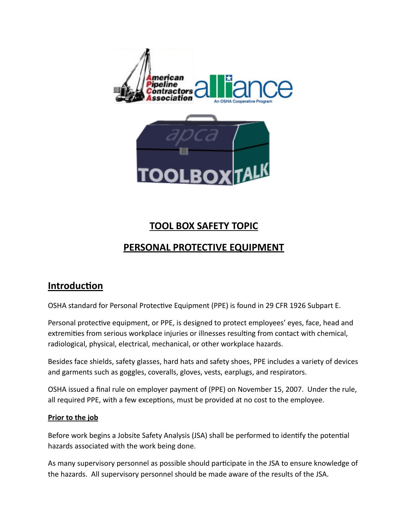

# **TOOL BOX SAFETY TOPIC**

## **PERSONAL PROTECTIVE EQUIPMENT**

## **Introduction**

OSHA standard for Personal Protective Equipment (PPE) is found in 29 CFR 1926 Subpart E.

Personal protective equipment, or PPE, is designed to protect employees' eyes, face, head and extremities from serious workplace injuries or illnesses resulting from contact with chemical, radiological, physical, electrical, mechanical, or other workplace hazards.

Besides face shields, safety glasses, hard hats and safety shoes, PPE includes a variety of devices and garments such as goggles, coveralls, gloves, vests, earplugs, and respirators.

OSHA issued a final rule on employer payment of (PPE) on November 15, 2007. Under the rule, all required PPE, with a few exceptions, must be provided at no cost to the employee.

## **Prior to the job**

Before work begins a Jobsite Safety Analysis (JSA) shall be performed to identify the potential hazards associated with the work being done.

As many supervisory personnel as possible should participate in the JSA to ensure knowledge of the hazards. All supervisory personnel should be made aware of the results of the JSA.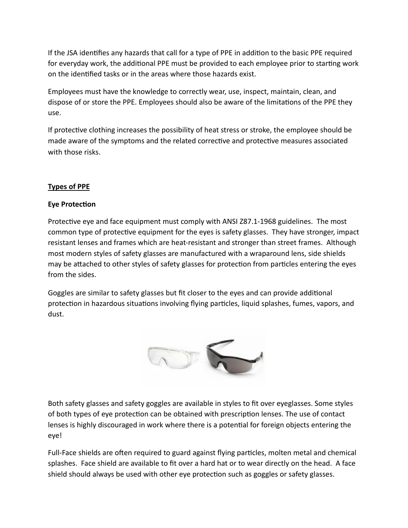If the JSA identifies any hazards that call for a type of PPE in addition to the basic PPE required for everyday work, the additional PPE must be provided to each employee prior to starting work on the identified tasks or in the areas where those hazards exist.

Employees must have the knowledge to correctly wear, use, inspect, maintain, clean, and dispose of or store the PPE. Employees should also be aware of the limitations of the PPE they use.

If protective clothing increases the possibility of heat stress or stroke, the employee should be made aware of the symptoms and the related corrective and protective measures associated with those risks.

## **Types\$of\$PPE**

## **Eye Protection**

Protective eye and face equipment must comply with ANSI Z87.1-1968 guidelines. The most common type of protective equipment for the eyes is safety glasses. They have stronger, impact resistant lenses and frames which are heat-resistant and stronger than street frames. Although most modern styles of safety glasses are manufactured with a wraparound lens, side shields may be attached to other styles of safety glasses for protection from particles entering the eyes from the sides.

Goggles are similar to safety glasses but fit closer to the eyes and can provide additional protection in hazardous situations involving flying particles, liquid splashes, fumes, vapors, and dust.



Both safety glasses and safety goggles are available in styles to fit over eyeglasses. Some styles of both types of eye protection can be obtained with prescription lenses. The use of contact lenses is highly discouraged in work where there is a potential for foreign objects entering the eye!

Full-Face shields are often required to guard against flying particles, molten metal and chemical splashes. Face shield are available to fit over a hard hat or to wear directly on the head. A face shield should always be used with other eye protection such as goggles or safety glasses.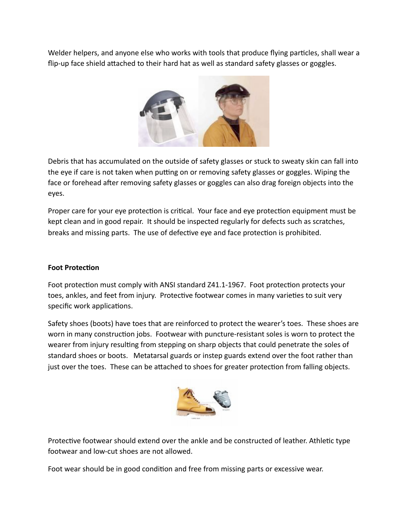Welder helpers, and anyone else who works with tools that produce flying particles, shall wear a flip-up face shield attached to their hard hat as well as standard safety glasses or goggles.



Debris that has accumulated on the outside of safety glasses or stuck to sweaty skin can fall into the eye if care is not taken when putting on or removing safety glasses or goggles. Wiping the face or forehead after removing safety glasses or goggles can also drag foreign objects into the eyes.

Proper care for your eye protection is critical. Your face and eye protection equipment must be kept clean and in good repair. It should be inspected regularly for defects such as scratches, breaks and missing parts. The use of defective eye and face protection is prohibited.

### **Foot Protection**

Foot protection must comply with ANSI standard Z41.1-1967. Foot protection protects your toes, ankles, and feet from injury. Protective footwear comes in many varieties to suit very specific work applications.

Safety shoes (boots) have toes that are reinforced to protect the wearer's toes. These shoes are worn in many construction jobs. Footwear with puncture-resistant soles is worn to protect the wearer from injury resulting from stepping on sharp objects that could penetrate the soles of standard shoes or boots. Metatarsal guards or instep guards extend over the foot rather than just over the toes. These can be attached to shoes for greater protection from falling objects.



Protective footwear should extend over the ankle and be constructed of leather. Athletic type footwear and low-cut shoes are not allowed.

Foot wear should be in good condition and free from missing parts or excessive wear.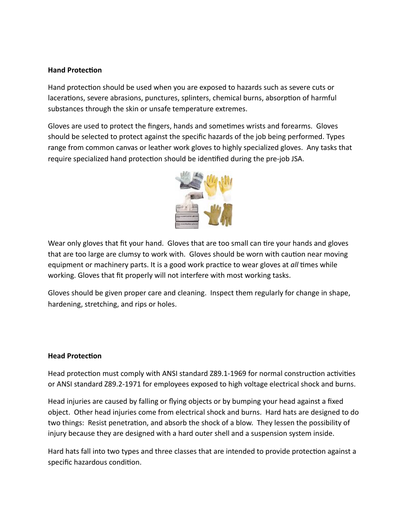#### **Hand Protection**

Hand protection should be used when you are exposed to hazards such as severe cuts or lacerations, severe abrasions, punctures, splinters, chemical burns, absorption of harmful substances through the skin or unsafe temperature extremes.

Gloves are used to protect the fingers, hands and sometimes wrists and forearms. Gloves should be selected to protect against the specific hazards of the job being performed. Types range from common canvas or leather work gloves to highly specialized gloves. Any tasks that require specialized hand protection should be identified during the pre-job JSA.



Wear only gloves that fit your hand. Gloves that are too small can tire your hands and gloves that are too large are clumsy to work with. Gloves should be worn with caution near moving equipment or machinery parts. It is a good work practice to wear gloves at *all* times while working. Gloves that fit properly will not interfere with most working tasks.

Gloves should be given proper care and cleaning. Inspect them regularly for change in shape, hardening, stretching, and rips or holes.

## **Head Protection**

Head protection must comply with ANSI standard Z89.1-1969 for normal construction activities or ANSI standard Z89.2-1971 for employees exposed to high voltage electrical shock and burns.

Head injuries are caused by falling or flying objects or by bumping your head against a fixed object. Other head injuries come from electrical shock and burns. Hard hats are designed to do two things: Resist penetration, and absorb the shock of a blow. They lessen the possibility of injury because they are designed with a hard outer shell and a suspension system inside.

Hard hats fall into two types and three classes that are intended to provide protection against a specific hazardous condition.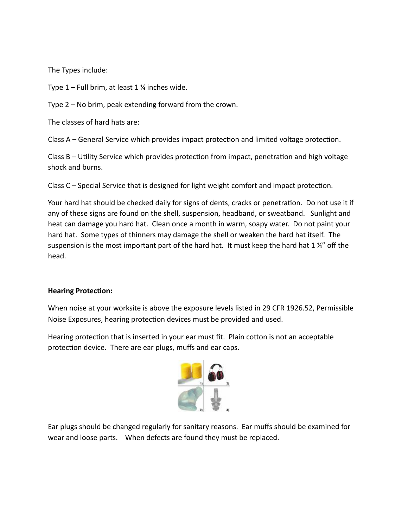The Types include:

Type  $1$  – Full brim, at least 1  $\frac{1}{4}$  inches wide.

Type  $2$  – No brim, peak extending forward from the crown.

The classes of hard hats are:

Class  $A$  – General Service which provides impact protection and limited voltage protection.

Class  $B$  – Utility Service which provides protection from impact, penetration and high voltage shock and burns.

Class  $C$  – Special Service that is designed for light weight comfort and impact protection.

Your hard hat should be checked daily for signs of dents, cracks or penetration. Do not use it if any of these signs are found on the shell, suspension, headband, or sweatband. Sunlight and heat can damage you hard hat. Clean once a month in warm, soapy water. Do not paint your hard hat. Some types of thinners may damage the shell or weaken the hard hat itself. The suspension is the most important part of the hard hat. It must keep the hard hat 1  $\frac{1}{4}$ " off the head.

#### **Hearing Protection:**

When noise at your worksite is above the exposure levels listed in 29 CFR 1926.52, Permissible Noise Exposures, hearing protection devices must be provided and used.

Hearing protection that is inserted in your ear must fit. Plain cotton is not an acceptable protection device. There are ear plugs, muffs and ear caps.



Ear plugs should be changed regularly for sanitary reasons. Ear muffs should be examined for wear and loose parts. When defects are found they must be replaced.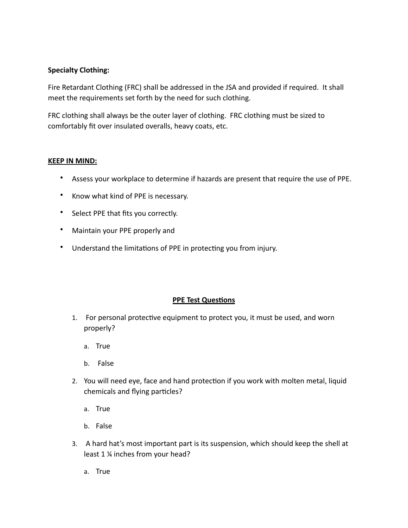### **Specialty Clothing:**

Fire Retardant Clothing (FRC) shall be addressed in the JSA and provided if required. It shall meet the requirements set forth by the need for such clothing.

FRC clothing shall always be the outer layer of clothing. FRC clothing must be sized to comfortably fit over insulated overalls, heavy coats, etc.

#### **KEEP IN MIND:**

- Assess your workplace to determine if hazards are present that require the use of PPE.
- Know what kind of PPE is necessary.
- Select PPE that fits you correctly.
- Maintain your PPE properly and
- Understand the limitations of PPE in protecting you from injury.

#### **PPE Test Questions**

- 1. For personal protective equipment to protect you, it must be used, and worn properly?
	- a. True
	- b. False
- 2. You will need eye, face and hand protection if you work with molten metal, liquid chemicals and flying particles?
	- a. True
	- b. False
- 3. A hard hat's most important part is its suspension, which should keep the shell at least 1 % inches from your head?
	- a. True